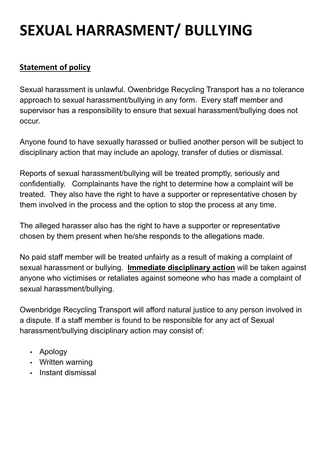## **SEXUAL HARRASMENT/ BULLYING**

## **Statement of policy**

Sexual harassment is unlawful. Owenbridge Recycling Transport has a no tolerance approach to sexual harassment/bullying in any form. Every staff member and supervisor has a responsibility to ensure that sexual harassment/bullying does not occur.

Anyone found to have sexually harassed or bullied another person will be subject to disciplinary action that may include an apology, transfer of duties or dismissal.

Reports of sexual harassment/bullying will be treated promptly, seriously and confidentially. Complainants have the right to determine how a complaint will be treated. They also have the right to have a supporter or representative chosen by them involved in the process and the option to stop the process at any time.

The alleged harasser also has the right to have a supporter or representative chosen by them present when he/she responds to the allegations made.

No paid staff member will be treated unfairly as a result of making a complaint of sexual harassment or bullying. **Immediate disciplinary action** will be taken against anyone who victimises or retaliates against someone who has made a complaint of sexual harassment/bullying.

Owenbridge Recycling Transport will afford natural justice to any person involved in a dispute. If a staff member is found to be responsible for any act of Sexual harassment/bullying disciplinary action may consist of:

- Apology
- Written warning
- Instant dismissal